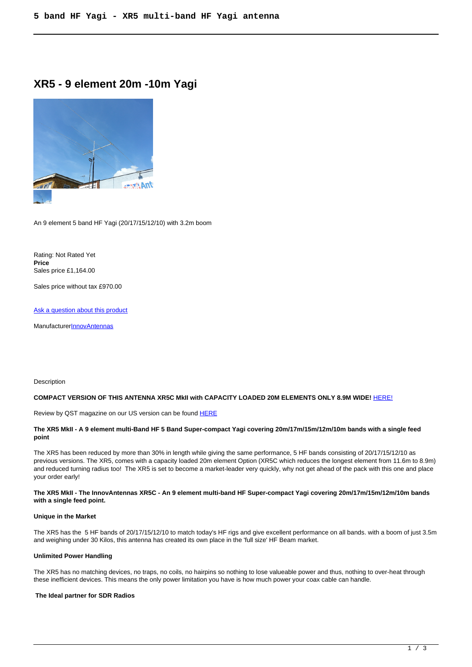# **XR5 - 9 element 20m -10m Yagi**



An 9 element 5 band HF Yagi (20/17/15/12/10) with 3.2m boom

Rating: Not Rated Yet **Price**  Sales price £1,164.00

Sales price without tax £970.00

[Ask a question about this product](https://innovantennas.com/index.php?option=com_virtuemart&view=productdetails&task=askquestion&virtuemart_product_id=435&virtuemart_category_id=4&tmpl=component)

**Manufacturer[InnovAntennas](https://innovantennas.com/index.php?option=com_virtuemart&view=manufacturer&virtuemart_manufacturer_id=1&tmpl=component)** 

#### Description

### **COMPACT VERSION OF THIS ANTENNA XR5C MkII with CAPACITY LOADED 20M ELEMENTS ONLY 8.9M WIDE!** [HERE!](index.php?option=com_virtuemart&view=productdetails&virtuemart_product_id=543&virtuemart_category_id=59&Itemid=141&lang=en)

Review by QST magazine on our US version can be found HERE

# **The XR5 MkII - A 9 element multi-Band HF 5 Band Super-compact Yagi covering 20m/17m/15m/12m/10m bands with a single feed point**

The XR5 has been reduced by more than 30% in length while giving the same performance, 5 HF bands consisting of 20/17/15/12/10 as previous versions. The XR5, comes with a capacity loaded 20m element Option (XR5C which reduces the longest element from 11.6m to 8.9m) and reduced turning radius too! The XR5 is set to become a market-leader very quickly, why not get ahead of the pack with this one and place your order early!

# **The XR5 MkII - The InnovAntennas XR5C - An 9 element multi-band HF Super-compact Yagi covering 20m/17m/15m/12m/10m bands with a single feed point.**

# **Unique in the Market**

The XR5 has the 5 HF bands of 20/17/15/12/10 to match today's HF rigs and give excellent performance on all bands. with a boom of just 3.5m and weighing under 30 Kilos, this antenna has created its own place in the 'full size' HF Beam market.

# **Unlimited Power Handling**

The XR5 has no matching devices, no traps, no coils, no hairpins so nothing to lose valueable power and thus, nothing to over-heat through these inefficient devices. This means the only power limitation you have is how much power your coax cable can handle.

# **The Ideal partner for SDR Radios**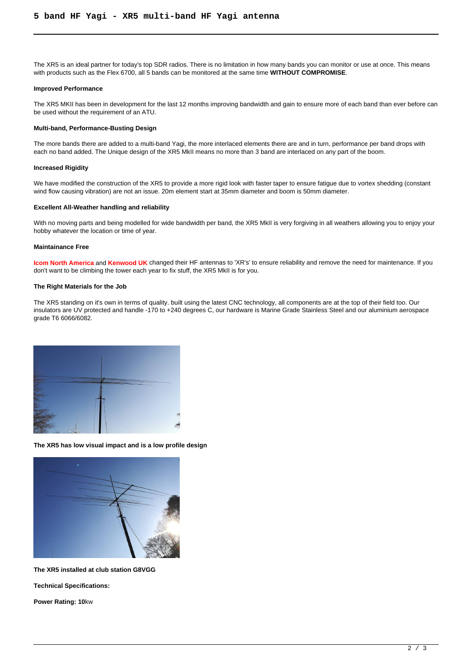The XR5 is an ideal partner for today's top SDR radios. There is no limitation in how many bands you can monitor or use at once. This means with products such as the Flex 6700, all 5 bands can be monitored at the same time **WITHOUT COMPROMISE**.

#### **Improved Performance**

The XR5 MKII has been in development for the last 12 months improving bandwidth and gain to ensure more of each band than ever before can be used without the requirement of an ATU.

#### **Multi-band, Performance-Busting Design**

The more bands there are added to a multi-band Yagi, the more interlaced elements there are and in turn, performance per band drops with each no band added. The Unique design of the XR5 MkII means no more than 3 band are interlaced on any part of the boom.

#### **Increased Rigidity**

We have modified the construction of the XR5 to provide a more rigid look with faster taper to ensure fatigue due to vortex shedding (constant wind flow causing vibration) are not an issue. 20m element start at 35mm diameter and boom is 50mm diameter.

# **Excellent All-Weather handling and reliability**

With no moving parts and being modelled for wide bandwidth per band, the XR5 MkII is very forgiving in all weathers allowing you to enjoy your hobby whatever the location or time of year.

#### **Maintainance Free**

**Icom North America** and **Kenwood UK** changed their HF antennas to 'XR's' to ensure reliability and remove the need for maintenance. If you don't want to be climbing the tower each year to fix stuff, the XR5 MkII is for you.

#### **The Right Materials for the Job**

The XR5 standing on it's own in terms of quality. built using the latest CNC technology, all components are at the top of their field too. Our insulators are UV protected and handle -170 to +240 degrees C, our hardware is Marine Grade Stainless Steel and our aluminium aerospace grade T6 6066/6082.



**The XR5 has low visual impact and is a low profile design**



**The XR5 installed at club station G8VGG**

**Technical Specifications:**

**Power Rating: 10**kw